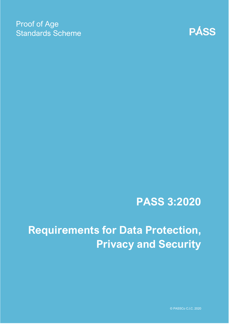### Proof of Age Standards Scheme



## **PASS 3:2020**

# **Requirements for Data Protection, Privacy and Security**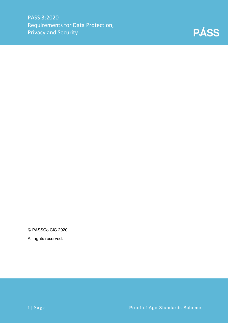

© PASSCo CIC 2020

All rights reserved.

**1** | Page Proof of Age Standards Scheme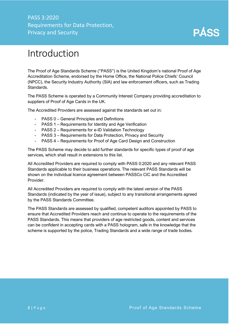### PASS 3:2020 Requirements for Data Protection, Privacy and Security



### <span id="page-2-0"></span>Introduction

The Proof of Age Standards Scheme ("PASS") is the United Kingdom's national Proof of Age Accreditation Scheme, endorsed by the Home Office, the National Police Chiefs' Council (NPCC), the Security Industry Authority (SIA) and law enforcement officers, such as Trading Standards.

The PASS Scheme is operated by a Community Interest Company providing accreditation to suppliers of Proof of Age Cards in the UK.

The Accredited Providers are assessed against the standards set out in:

- PASS 0 General Principles and Definitions
- PASS 1 Requirements for Identity and Age Verification
- PASS 2 Requirements for e-ID Validation Technology
- PASS 3 Requirements for Data Protection, Privacy and Security
- PASS 4 Requirements for Proof of Age Card Design and Construction

The PASS Scheme may decide to add further standards for specific types of proof of age services, which shall result in extensions to this list.

All Accredited Providers are required to comply with PASS 0:2020 and any relevant PASS Standards applicable to their business operations. The relevant PASS Standards will be shown on the individual licence agreement between PASSCo CIC and the Accredited Provider.

All Accredited Providers are required to comply with the latest version of the PASS Standards (indicated by the year of issue), subject to any transitional arrangements agreed by the PASS Standards Committee.

The PASS Standards are assessed by qualified, competent auditors appointed by PASS to ensure that Accredited Providers reach and continue to operate to the requirements of the PASS Standards. This means that providers of age restricted goods, content and services can be confident in accepting cards with a PASS hologram, safe in the knowledge that the scheme is supported by the police, Trading Standards and a wide range of trade bodies.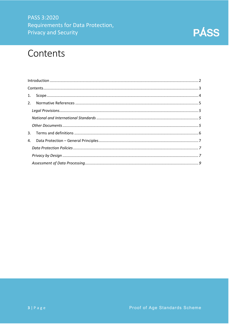### PASS 3:2020 Requirements for Data Protection, **Privacy and Security**



### <span id="page-3-0"></span>Contents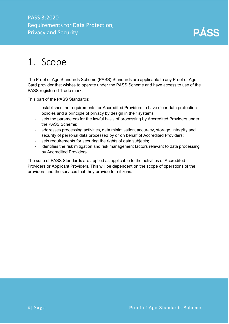### PASS 3:2020 Requirements for Data Protection, Privacy and Security



## <span id="page-4-0"></span>1. Scope

The Proof of Age Standards Scheme (PASS) Standards are applicable to any Proof of Age Card provider that wishes to operate under the PASS Scheme and have access to use of the PASS registered Trade mark.

This part of the PASS Standards:

- establishes the requirements for Accredited Providers to have clear data protection policies and a principle of privacy by design in their systems;
- sets the parameters for the lawful basis of processing by Accredited Providers under the PASS Scheme;
- addresses processing activities, data minimisation, accuracy, storage, integrity and security of personal data processed by or on behalf of Accredited Providers;
- sets requirements for securing the rights of data subjects;
- identifies the risk mitigation and risk management factors relevant to data processing by Accredited Providers.

The suite of PASS Standards are applied as applicable to the activities of Accredited Providers or Applicant Providers. This will be dependent on the scope of operations of the providers and the services that they provide for citizens.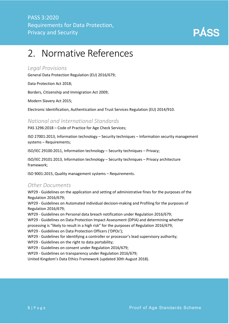

## <span id="page-5-0"></span>2. Normative References

#### <span id="page-5-1"></span>*Legal Provisions*

General Data Protection Regulation (EU) 2016/679;

Data Protection Act 2018;

Borders, Citizenship and Immigration Act 2009;

Modern Slavery Act 2015;

Electronic Identification, Authentication and Trust Services Regulation (EU) 2014/910.

#### <span id="page-5-2"></span>*National and International Standards*

PAS 1296:2018 – Code of Practice for Age Check Services;

ISO 27001:2013, Information technology – Security techniques – Information security management systems – Requirements;

ISO/IEC 29100:2011, Information technology – Security techniques – Privacy;

ISO/IEC 29101:2013, Information technology – Security techniques – Privacy architecture framework;

ISO 9001:2015, Quality management systems – Requirements.

#### <span id="page-5-3"></span>*Other Documents*

WP29 - Guidelines on the application and setting of administrative fines for the purposes of the Regulation 2016/679;

WP29 - Guidelines on Automated individual decision-making and Profiling for the purposes of Regulation 2016/679;

WP29 - Guidelines on Personal data breach notification under Regulation 2016/679;

WP29 - Guidelines on Data Protection Impact Assessment (DPIA) and determining whether

processing is "likely to result in a high risk" for the purposes of Regulation 2016/679;

WP29 - Guidelines on Data Protection Officers ('DPOs');

WP29 - Guidelines for identifying a controller or processor's lead supervisory authority;

WP29 - Guidelines on the right to data portability;

WP29 - Guidelines on consent under Regulation 2016/679;

WP29 - Guidelines on transparency under Regulation 2016/679;

United Kingdom's Data Ethics Framework (updated 30th August 2018).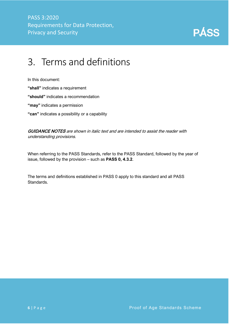

## <span id="page-6-0"></span>3. Terms and definitions

In this document:

**"shall"** indicates a requirement

**"should"** indicates a recommendation

**"may"** indicates a permission

**"can"** indicates a possibility or a capability

**GUIDANCE NOTES** are shown in italic text and are intended to assist the reader with understanding provisions.

When referring to the PASS Standards, refer to the PASS Standard, followed by the year of issue, followed by the provision – such as **PASS 0, 4.3.2**.

The terms and definitions established in PASS 0 apply to this standard and all PASS Standards.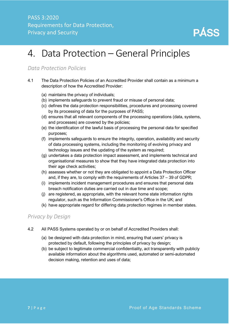

## <span id="page-7-0"></span>4. Data Protection – General Principles

#### <span id="page-7-1"></span>*Data Protection Policies*

- 4.1 The Data Protection Policies of an Accredited Provider shall contain as a minimum a description of how the Accredited Provider:
	- (a) maintains the privacy of individuals;
	- (b) implements safeguards to prevent fraud or misuse of personal data;
	- (c) defines the data protection responsibilities, procedures and processing covered by its processing of data for the purposes of PASS;
	- (d) ensures that all relevant components of the processing operations (data, systems, and processes) are covered by the policies;
	- (e) the identification of the lawful basis of processing the personal data for specified purposes;
	- (f) implements safeguards to ensure the integrity, operation, availability and security of data processing systems, including the monitoring of evolving privacy and technology issues and the updating of the system as required;
	- (g) undertakes a data protection impact assessment, and implements technical and organisational measures to show that they have integrated data protection into their age check activities;
	- (h) assesses whether or not they are obligated to appoint a Data Protection Officer and, if they are, to comply with the requirements of Articles 37 – 39 of GDPR;
	- (i) implements incident management procedures and ensures that personal data breach notification duties are carried out in due time and scope;
	- (j) are registered, as appropriate, with the relevant home state information rights regulator, such as the Information Commissioner's Office in the UK; and
	- (k) have appropriate regard for differing data protection regimes in member states.

#### <span id="page-7-2"></span>*Privacy by Design*

- 4.2 All PASS Systems operated by or on behalf of Accredited Providers shall:
	- (a) be designed with data protection in mind, ensuring that users' privacy is protected by default, following the principles of privacy by design;
	- (b) be subject to legitimate commercial confidentiality, act transparently with publicly available information about the algorithms used, automated or semi-automated decision making, retention and uses of data;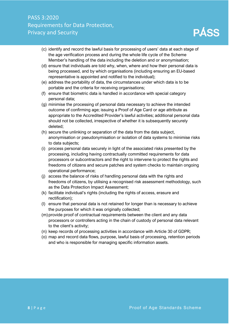### PASS 3:2020 Requirements for Data Protection, Privacy and Security



- (c) identify and record the lawful basis for processing of users' data at each stage of the age verification process and during the whole life cycle of the Scheme Member's handling of the data including the deletion and or anonymisation;
- (d) ensure that individuals are told why, when, where and how their personal data is being processed, and by which organisations (including ensuring an EU-based representative is appointed and notified to the individual);
- (e) address the portability of data, the circumstances under which data is to be portable and the criteria for receiving organisations;
- (f) ensure that biometric data is handled in accordance with special category personal data;
- (g) minimise the processing of personal data necessary to achieve the intended outcome of confirming age; issuing a Proof of Age Card or age attribute as appropriate to the Accredited Provider's lawful activities; additional personal data should not be collected, irrespective of whether it is subsequently securely deleted;
- (h) secure the unlinking or separation of the data from the data subject, anonymisation or pseudonymisation or isolation of data systems to minimise risks to data subjects;
- (i) process personal data securely in light of the associated risks presented by the processing, including having contractually committed requirements for data processors or subcontractors and the right to intervene to protect the rights and freedoms of citizens and secure patches and system checks to maintain ongoing operational performance;
- (j) access the balance of risks of handling personal data with the rights and freedoms of citizens, by utilising a recognised risk assessment methodology, such as the Data Protection Impact Assessment;
- (k) facilitate individual's rights (including the rights of access, erasure and rectification);
- (l) ensure that personal data is not retained for longer than is necessary to achieve the purposes for which it was originally collected;
- (m)provide proof of contractual requirements between the client and any data processors or controllers acting in the chain of custody of personal data relevant to the client's activity;
- (n) keep records of processing activities in accordance with Article 30 of GDPR;
- (o) map and record data flows, purpose, lawful basis of processing, retention periods and who is responsible for managing specific information assets.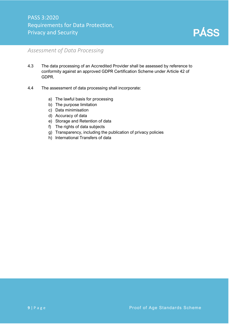

#### <span id="page-9-0"></span>*Assessment of Data Processing*

- 4.3 The data processing of an Accredited Provider shall be assessed by reference to conformity against an approved GDPR Certification Scheme under Article 42 of GDPR.
- 4.4 The assessment of data processing shall incorporate:
	- a) The lawful basis for processing
	- b) The purpose limitation
	- c) Data minimisation
	- d) Accuracy of data
	- e) Storage and Retention of data
	- f) The rights of data subjects
	- g) Transparency, including the publication of privacy policies
	- h) International Transfers of data